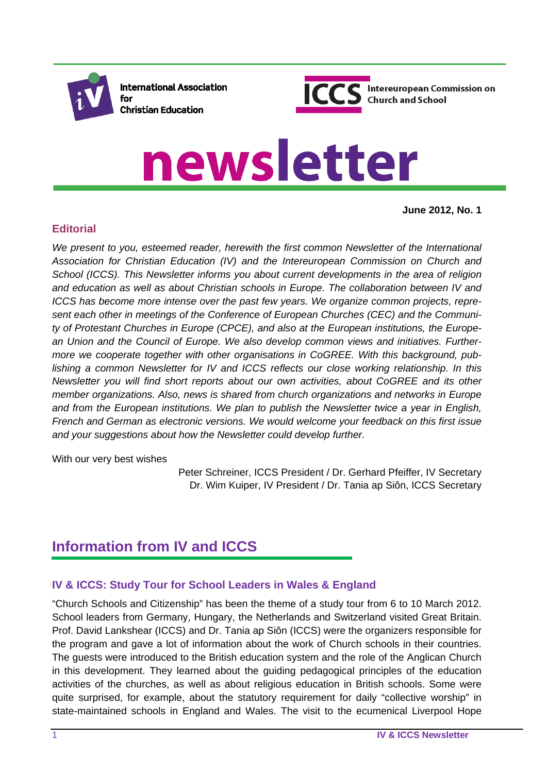

**International Association** for **Christian Education** 



# newsletter

**June 2012, No. 1**

## **Editorial**

We present to you, esteemed reader, herewith the first common Newsletter of the International *Association for Christian Education (IV) and the Intereuropean Commission on Church and School (ICCS). This Newsletter informs you about current developments in the area of religion and education as well as about Christian schools in Europe. The collaboration between IV and ICCS has become more intense over the past few years. We organize common projects, represent each other in meetings of the Conference of European Churches (CEC) and the Community of Protestant Churches in Europe (CPCE), and also at the European institutions, the European Union and the Council of Europe. We also develop common views and initiatives. Furthermore we cooperate together with other organisations in CoGREE. With this background, publishing a common Newsletter for IV and ICCS reflects our close working relationship. In this Newsletter you will find short reports about our own activities, about CoGREE and its other member organizations. Also, news is shared from church organizations and networks in Europe and from the European institutions. We plan to publish the Newsletter twice a year in English, French and German as electronic versions. We would welcome your feedback on this first issue and your suggestions about how the Newsletter could develop further.* 

With our very best wishes

Peter Schreiner, ICCS President / Dr. Gerhard Pfeiffer, IV Secretary Dr. Wim Kuiper, IV President / Dr. Tania ap Siôn, ICCS Secretary

# **Information from IV and ICCS**

## **IV & ICCS: Study Tour for School Leaders in Wales & England**

"Church Schools and Citizenship" has been the theme of a study tour from 6 to 10 March 2012. School leaders from Germany, Hungary, the Netherlands and Switzerland visited Great Britain. Prof. David Lankshear (ICCS) and Dr. Tania ap Siôn (ICCS) were the organizers responsible for the program and gave a lot of information about the work of Church schools in their countries. The guests were introduced to the British education system and the role of the Anglican Church in this development. They learned about the guiding pedagogical principles of the education activities of the churches, as well as about religious education in British schools. Some were quite surprised, for example, about the statutory requirement for daily "collective worship" in state-maintained schools in England and Wales. The visit to the ecumenical Liverpool Hope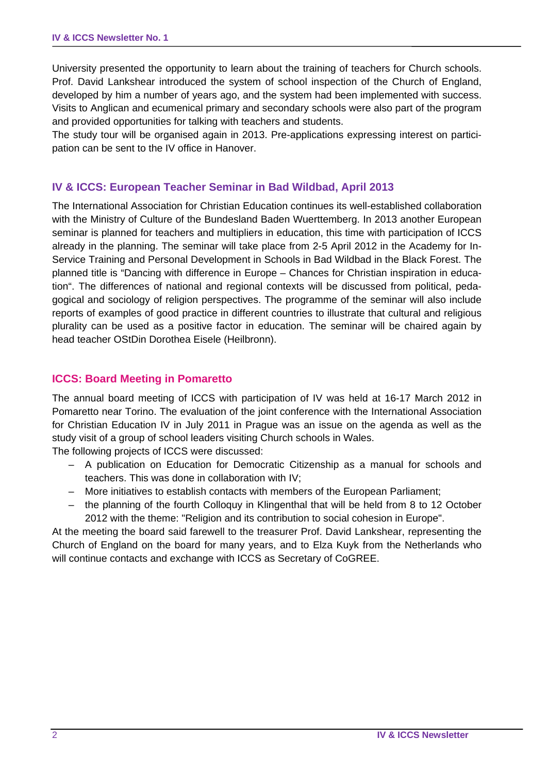University presented the opportunity to learn about the training of teachers for Church schools. Prof. David Lankshear introduced the system of school inspection of the Church of England, developed by him a number of years ago, and the system had been implemented with success. Visits to Anglican and ecumenical primary and secondary schools were also part of the program and provided opportunities for talking with teachers and students.

The study tour will be organised again in 2013. Pre-applications expressing interest on participation can be sent to the IV office in Hanover.

#### **IV & ICCS: European Teacher Seminar in Bad Wildbad, April 2013**

The International Association for Christian Education continues its well-established collaboration with the Ministry of Culture of the Bundesland Baden Wuerttemberg. In 2013 another European seminar is planned for teachers and multipliers in education, this time with participation of ICCS already in the planning. The seminar will take place from 2-5 April 2012 in the Academy for In-Service Training and Personal Development in Schools in Bad Wildbad in the Black Forest. The planned title is "Dancing with difference in Europe – Chances for Christian inspiration in education". The differences of national and regional contexts will be discussed from political, pedagogical and sociology of religion perspectives. The programme of the seminar will also include reports of examples of good practice in different countries to illustrate that cultural and religious plurality can be used as a positive factor in education. The seminar will be chaired again by head teacher OStDin Dorothea Eisele (Heilbronn).

#### **ICCS: Board Meeting in Pomaretto**

The annual board meeting of ICCS with participation of IV was held at 16-17 March 2012 in Pomaretto near Torino. The evaluation of the joint conference with the International Association for Christian Education IV in July 2011 in Prague was an issue on the agenda as well as the study visit of a group of school leaders visiting Church schools in Wales.

The following projects of ICCS were discussed:

- A publication on Education for Democratic Citizenship as a manual for schools and teachers. This was done in collaboration with IV;
- More initiatives to establish contacts with members of the European Parliament;
- the planning of the fourth Colloquy in Klingenthal that will be held from 8 to 12 October 2012 with the theme: "Religion and its contribution to social cohesion in Europe".

At the meeting the board said farewell to the treasurer Prof. David Lankshear, representing the Church of England on the board for many years, and to Elza Kuyk from the Netherlands who will continue contacts and exchange with ICCS as Secretary of CoGREE.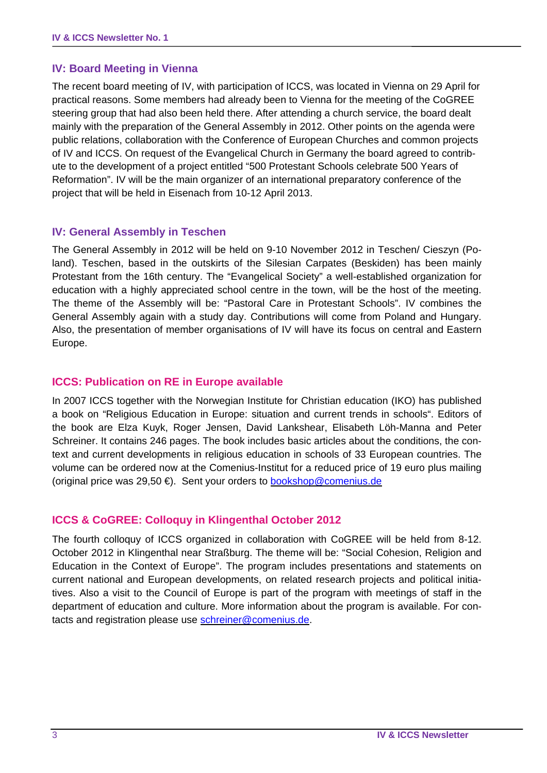## **IV: Board Meeting in Vienna**

The recent board meeting of IV, with participation of ICCS, was located in Vienna on 29 April for practical reasons. Some members had already been to Vienna for the meeting of the CoGREE steering group that had also been held there. After attending a church service, the board dealt mainly with the preparation of the General Assembly in 2012. Other points on the agenda were public relations, collaboration with the Conference of European Churches and common projects of IV and ICCS. On request of the Evangelical Church in Germany the board agreed to contribute to the development of a project entitled "500 Protestant Schools celebrate 500 Years of Reformation". IV will be the main organizer of an international preparatory conference of the project that will be held in Eisenach from 10-12 April 2013.

#### **IV: General Assembly in Teschen**

The General Assembly in 2012 will be held on 9-10 November 2012 in Teschen/ Cieszyn (Poland). Teschen, based in the outskirts of the Silesian Carpates (Beskiden) has been mainly Protestant from the 16th century. The "Evangelical Society" a well-established organization for education with a highly appreciated school centre in the town, will be the host of the meeting. The theme of the Assembly will be: "Pastoral Care in Protestant Schools". IV combines the General Assembly again with a study day. Contributions will come from Poland and Hungary. Also, the presentation of member organisations of IV will have its focus on central and Eastern Europe.

#### **ICCS: Publication on RE in Europe available**

In 2007 ICCS together with the Norwegian Institute for Christian education (IKO) has published a book on "Religious Education in Europe: situation and current trends in schools". Editors of the book are Elza Kuyk, Roger Jensen, David Lankshear, Elisabeth Löh-Manna and Peter Schreiner. It contains 246 pages. The book includes basic articles about the conditions, the context and current developments in religious education in schools of 33 European countries. The volume can be ordered now at the Comenius-Institut for a reduced price of 19 euro plus mailing (original price was 29,50 €). Sent your orders to bookshop@comenius.de

#### **ICCS & CoGREE: Colloquy in Klingenthal October 2012**

The fourth colloquy of ICCS organized in collaboration with CoGREE will be held from 8-12. October 2012 in Klingenthal near Straßburg. The theme will be: "Social Cohesion, Religion and Education in the Context of Europe". The program includes presentations and statements on current national and European developments, on related research projects and political initiatives. Also a visit to the Council of Europe is part of the program with meetings of staff in the department of education and culture. More information about the program is available. For contacts and registration please use schreiner@comenius.de.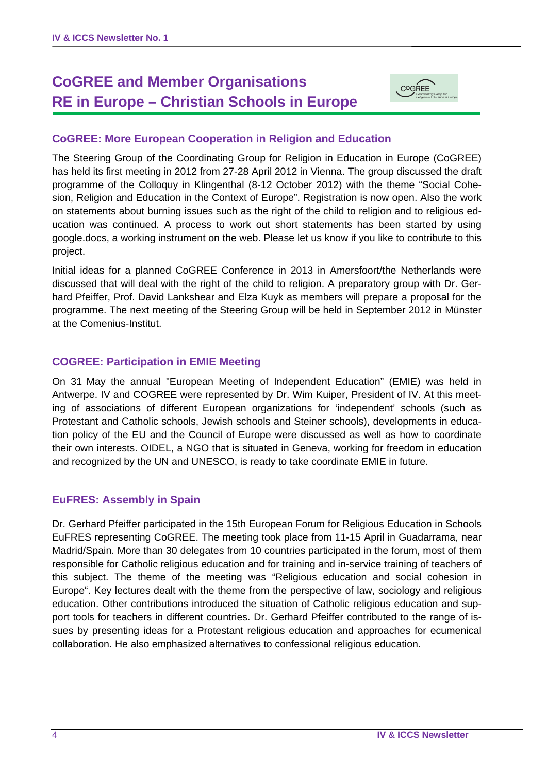# **CoGREE and Member Organisations RE in Europe – Christian Schools in Europe**



#### **CoGREE: More European Cooperation in Religion and Education**

The Steering Group of the Coordinating Group for Religion in Education in Europe (CoGREE) has held its first meeting in 2012 from 27-28 April 2012 in Vienna. The group discussed the draft programme of the Colloquy in Klingenthal (8-12 October 2012) with the theme "Social Cohesion, Religion and Education in the Context of Europe". Registration is now open. Also the work on statements about burning issues such as the right of the child to religion and to religious education was continued. A process to work out short statements has been started by using google.docs, a working instrument on the web. Please let us know if you like to contribute to this project.

Initial ideas for a planned CoGREE Conference in 2013 in Amersfoort/the Netherlands were discussed that will deal with the right of the child to religion. A preparatory group with Dr. Gerhard Pfeiffer, Prof. David Lankshear and Elza Kuyk as members will prepare a proposal for the programme. The next meeting of the Steering Group will be held in September 2012 in Münster at the Comenius-Institut.

#### **COGREE: Participation in EMIE Meeting**

On 31 May the annual "European Meeting of Independent Education" (EMIE) was held in Antwerpe. IV and COGREE were represented by Dr. Wim Kuiper, President of IV. At this meeting of associations of different European organizations for 'independent' schools (such as Protestant and Catholic schools, Jewish schools and Steiner schools), developments in education policy of the EU and the Council of Europe were discussed as well as how to coordinate their own interests. OIDEL, a NGO that is situated in Geneva, working for freedom in education and recognized by the UN and UNESCO, is ready to take coordinate EMIE in future.

#### **EuFRES: Assembly in Spain**

Dr. Gerhard Pfeiffer participated in the 15th European Forum for Religious Education in Schools EuFRES representing CoGREE. The meeting took place from 11-15 April in Guadarrama, near Madrid/Spain. More than 30 delegates from 10 countries participated in the forum, most of them responsible for Catholic religious education and for training and in-service training of teachers of this subject. The theme of the meeting was "Religious education and social cohesion in Europe". Key lectures dealt with the theme from the perspective of law, sociology and religious education. Other contributions introduced the situation of Catholic religious education and support tools for teachers in different countries. Dr. Gerhard Pfeiffer contributed to the range of issues by presenting ideas for a Protestant religious education and approaches for ecumenical collaboration. He also emphasized alternatives to confessional religious education.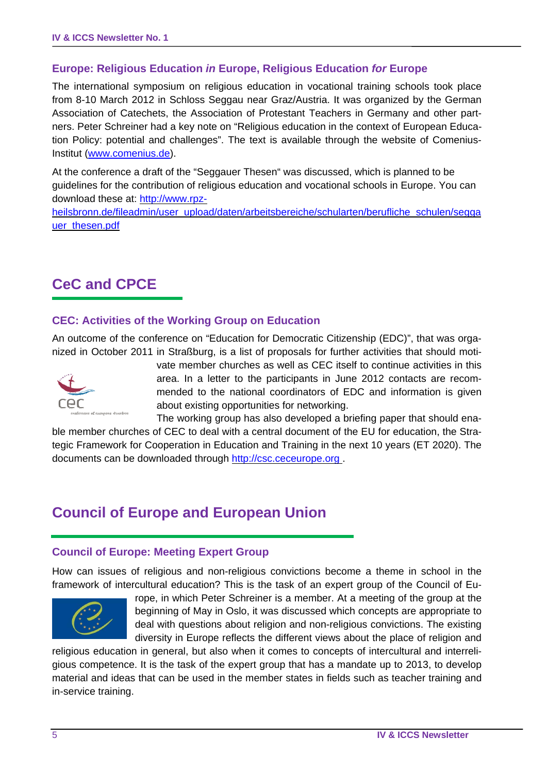## **Europe: Religious Education** *in* **Europe, Religious Education** *for* **Europe**

The international symposium on religious education in vocational training schools took place from 8-10 March 2012 in Schloss Seggau near Graz/Austria. It was organized by the German Association of Catechets, the Association of Protestant Teachers in Germany and other partners. Peter Schreiner had a key note on "Religious education in the context of European Education Policy: potential and challenges". The text is available through the website of Comenius-Institut (www.comenius.de).

At the conference a draft of the "Seggauer Thesen" was discussed, which is planned to be guidelines for the contribution of religious education and vocational schools in Europe. You can download these at: http://www.rpz-

heilsbronn.de/fileadmin/user\_upload/daten/arbeitsbereiche/schularten/berufliche\_schulen/segga uer\_thesen.pdf

# **CeC and CPCE**

#### **CEC: Activities of the Working Group on Education**

An outcome of the conference on "Education for Democratic Citizenship (EDC)", that was organized in October 2011 in Straßburg, is a list of proposals for further activities that should moti-



vate member churches as well as CEC itself to continue activities in this area. In a letter to the participants in June 2012 contacts are recommended to the national coordinators of EDC and information is given about existing opportunities for networking.

The working group has also developed a briefing paper that should enable member churches of CEC to deal with a central document of the EU for education, the Strategic Framework for Cooperation in Education and Training in the next 10 years (ET 2020). The documents can be downloaded through http://csc.ceceurope.org .

# **Council of Europe and European Union**

#### **Council of Europe: Meeting Expert Group**

How can issues of religious and non-religious convictions become a theme in school in the framework of intercultural education? This is the task of an expert group of the Council of Eu-



rope, in which Peter Schreiner is a member. At a meeting of the group at the beginning of May in Oslo, it was discussed which concepts are appropriate to deal with questions about religion and non-religious convictions. The existing diversity in Europe reflects the different views about the place of religion and

religious education in general, but also when it comes to concepts of intercultural and interreligious competence. It is the task of the expert group that has a mandate up to 2013, to develop material and ideas that can be used in the member states in fields such as teacher training and in-service training.